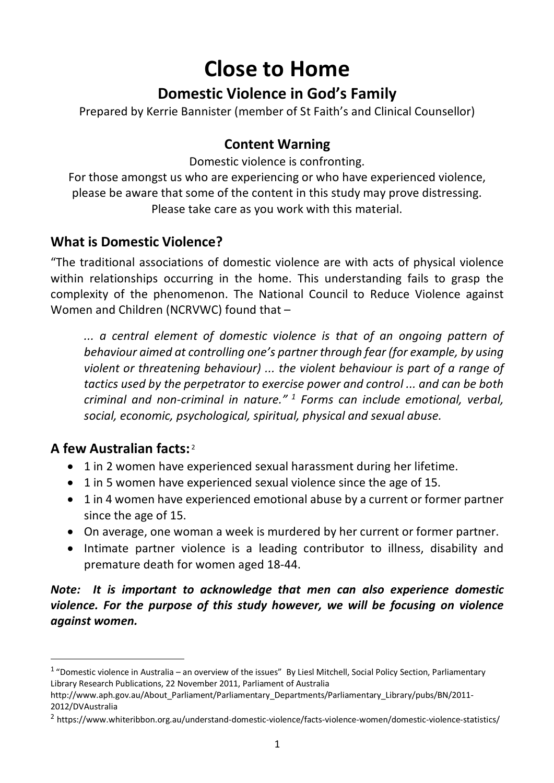# **Close to Home**

## **Domestic Violence in God's Family**

Prepared by Kerrie Bannister (member of St Faith's and Clinical Counsellor)

## **Content Warning**

Domestic violence is confronting.

For those amongst us who are experiencing or who have experienced violence, please be aware that some of the content in this study may prove distressing. Please take care as you work with this material.

## **What is Domestic Violence?**

"The traditional associations of domestic violence are with acts of physical violence within relationships occurring in the home. This understanding fails to grasp the complexity of the phenomenon. The National Council to Reduce Violence against Women and Children (NCRVWC) found that –

*... a central element of domestic violence is that of an ongoing pattern of behaviour aimed at controlling one's partner through fear (for example, by using violent or threatening behaviour) ... the violent behaviour is part of a range of tactics used by the perpetrator to exercise power and control ... and can be both criminal and non-criminal in nature." <sup>1</sup> Forms can include emotional, verbal, social, economic, psychological, spiritual, physical and sexual abuse.*

## **A few Australian facts:** <sup>2</sup>

- 1 in 2 women have experienced sexual harassment during her lifetime.
- 1 in 5 women have experienced sexual violence since the age of 15.
- 1 in 4 women have experienced emotional abuse by a current or former partner since the age of 15.
- On average, one woman a week is murdered by her current or former partner.
- Intimate partner violence is a leading contributor to illness, disability and premature death for women aged 18-44.

*Note: It is important to acknowledge that men can also experience domestic violence. For the purpose of this study however, we will be focusing on violence against women.*

 $1$  "Domestic violence in Australia – an overview of the issues" By Liesl Mitchell, Social Policy Section, Parliamentary Library Research Publications, 22 November 2011, Parliament of Australia

http://www.aph.gov.au/About\_Parliament/Parliamentary\_Departments/Parliamentary\_Library/pubs/BN/2011- 2012/DVAustralia

<sup>2</sup> https://www.whiteribbon.org.au/understand-domestic-violence/facts-violence-women/domestic-violence-statistics/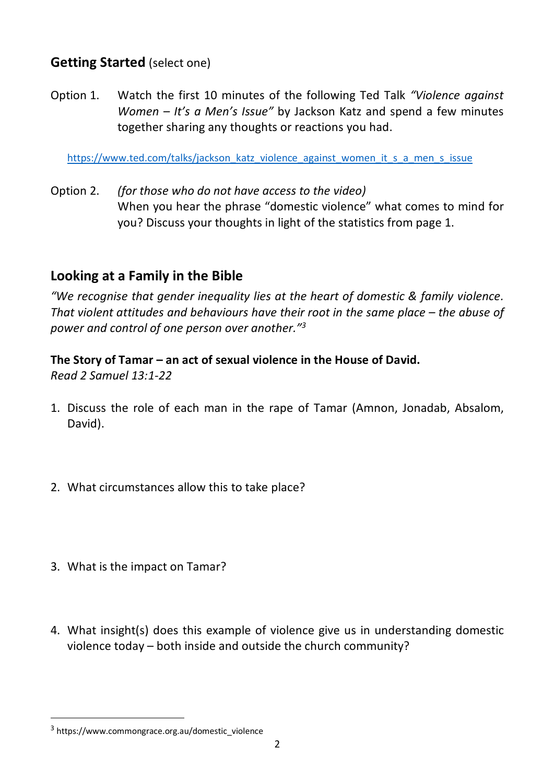## **Getting Started** (select one)

Option 1. Watch the first 10 minutes of the following Ted Talk *"Violence against Women – It's a Men's Issue"* by Jackson Katz and spend a few minutes together sharing any thoughts or reactions you had.

https://www.ted.com/talks/jackson\_katz\_violence\_against\_women\_it\_s\_a\_men\_s\_issue

Option 2. *(for those who do not have access to the video)* When you hear the phrase "domestic violence" what comes to mind for you? Discuss your thoughts in light of the statistics from page 1.

## **Looking at a Family in the Bible**

*"We recognise that gender inequality lies at the heart of domestic & family violence. That violent attitudes and behaviours have their root in the same place – the abuse of power and control of one person over another."3*

**The Story of Tamar – an act of sexual violence in the House of David.**  *Read 2 Samuel 13:1-22*

- 1. Discuss the role of each man in the rape of Tamar (Amnon, Jonadab, Absalom, David).
- 2. What circumstances allow this to take place?
- 3. What is the impact on Tamar?
- 4. What insight(s) does this example of violence give us in understanding domestic violence today – both inside and outside the church community?

 $3$  https://www.commongrace.org.au/domestic\_violence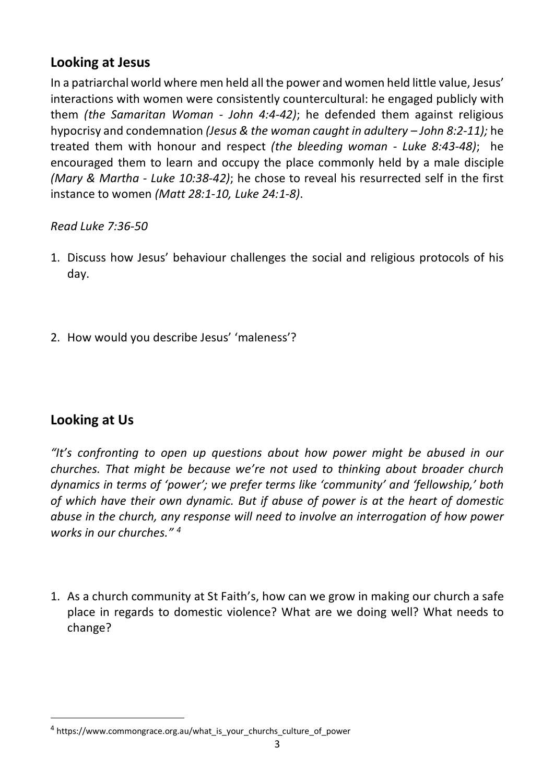## **Looking at Jesus**

In a patriarchal world where men held all the power and women held little value, Jesus' interactions with women were consistently countercultural: he engaged publicly with them *(the Samaritan Woman - John 4:4-42)*; he defended them against religious hypocrisy and condemnation *(Jesus & the woman caught in adultery – John 8:2-11);* he treated them with honour and respect *(the bleeding woman - Luke 8:43-48)*; he encouraged them to learn and occupy the place commonly held by a male disciple *(Mary & Martha - Luke 10:38-42)*; he chose to reveal his resurrected self in the first instance to women *(Matt 28:1-10, Luke 24:1-8)*.

#### *Read Luke 7:36-50*

- 1. Discuss how Jesus' behaviour challenges the social and religious protocols of his day.
- 2. How would you describe Jesus' 'maleness'?

## **Looking at Us**

*"It's confronting to open up questions about how power might be abused in our churches. That might be because we're not used to thinking about broader church dynamics in terms of 'power'; we prefer terms like 'community' and 'fellowship,' both of which have their own dynamic. But if abuse of power is at the heart of domestic abuse in the church, any response will need to involve an interrogation of how power works in our churches." <sup>4</sup>*

1. As a church community at St Faith's, how can we grow in making our church a safe place in regards to domestic violence? What are we doing well? What needs to change?

 <sup>4</sup> https://www.commongrace.org.au/what\_is\_your\_churchs\_culture\_of\_power